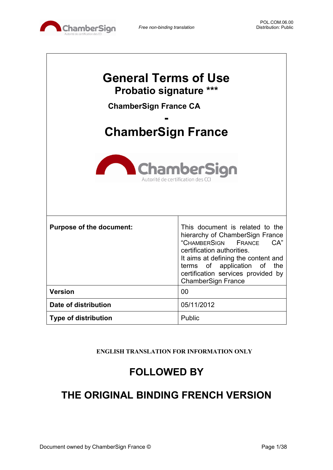

 $\mathbf{I}$ 

 $\overline{\phantom{a}}$ 

| <b>General Terms of Use</b><br><b>Probatio signature ***</b><br><b>ChamberSign France CA</b><br><b>ChamberSign France</b><br><b>ChamberSign</b><br>Autorité de certification des CO |                                                                                                                                                                                                                                                                               |  |  |
|-------------------------------------------------------------------------------------------------------------------------------------------------------------------------------------|-------------------------------------------------------------------------------------------------------------------------------------------------------------------------------------------------------------------------------------------------------------------------------|--|--|
| <b>Purpose of the document:</b>                                                                                                                                                     | This document is related to the<br>hierarchy of ChamberSign France<br>"CHAMBERSIGN<br>CA"<br>FRANCE<br>certification authorities.<br>It aims at defining the content and<br>of application of the<br>terms<br>certification services provided by<br><b>ChamberSign France</b> |  |  |
| <b>Version</b>                                                                                                                                                                      | 00                                                                                                                                                                                                                                                                            |  |  |
| Date of distribution                                                                                                                                                                | 05/11/2012                                                                                                                                                                                                                                                                    |  |  |
| <b>Type of distribution</b>                                                                                                                                                         | Public                                                                                                                                                                                                                                                                        |  |  |

**ENGLISH TRANSLATION FOR INFORMATION ONLY**

# **FOLLOWED BY**

# **THE ORIGINAL BINDING FRENCH VERSION**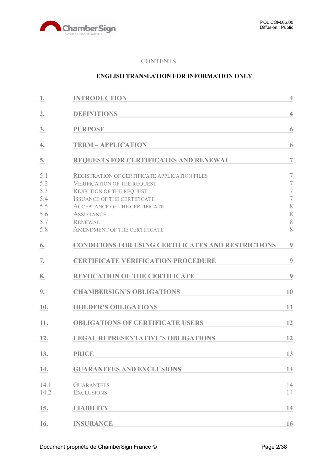

#### **CONTENTS**

#### **ENGLISH TRANSLATION FOR INFORMATION ONLY**

| 1.                                                   | <b>INTRODUCTION</b>                                                                                                                                                                                                                                                         | $\overline{4}$                                                                                                       |
|------------------------------------------------------|-----------------------------------------------------------------------------------------------------------------------------------------------------------------------------------------------------------------------------------------------------------------------------|----------------------------------------------------------------------------------------------------------------------|
| 2.                                                   | <b>DEFINITIONS</b>                                                                                                                                                                                                                                                          | $\overline{4}$                                                                                                       |
| 3.                                                   | <b>PURPOSE</b>                                                                                                                                                                                                                                                              | 6                                                                                                                    |
| 4.                                                   | <b>TERM - APPLICATION</b>                                                                                                                                                                                                                                                   | 6                                                                                                                    |
| 5.                                                   | <b>REQUESTS FOR CERTIFICATES AND RENEWAL</b>                                                                                                                                                                                                                                | $\overline{7}$                                                                                                       |
| 5.1<br>5.2<br>5.3<br>5.4<br>5.5<br>5.6<br>5.7<br>5.8 | <b>REGISTRATION OF CERTIFICATE APPLICATION FILES</b><br><b>VERIFICATION OF THE REQUEST</b><br>REJECTION OF THE REQUEST<br><b>ISSUANCE OF THE CERTIFICATE</b><br><b>ACCEPTANCE OF THE CERTIFICATE</b><br><b>ASSISTANCE</b><br><b>RENEWAL</b><br>AMENDMENT OF THE CERTIFICATE | $\overline{7}$<br>$\overline{7}$<br>$\overline{\mathcal{I}}$<br>$\overline{\mathcal{I}}$<br>8<br>8<br>$\,$ $\,$<br>8 |
| 6.                                                   | <b>CONDITIONS FOR USING CERTIFICATES AND RESTRICTIONS</b>                                                                                                                                                                                                                   | $\boldsymbol{9}$                                                                                                     |
| 7.                                                   | <b>CERTIFICATE VERIFICATION PROCEDURE</b>                                                                                                                                                                                                                                   | 9                                                                                                                    |
| 8.                                                   | <b>REVOCATION OF THE CERTIFICATE</b>                                                                                                                                                                                                                                        | 9                                                                                                                    |
| 9.                                                   | <b>CHAMBERSIGN'S OBLIGATIONS</b>                                                                                                                                                                                                                                            | 10                                                                                                                   |
| 10.                                                  | <b>HOLDER'S OBLIGATIONS</b>                                                                                                                                                                                                                                                 | 11                                                                                                                   |
| 11.                                                  | <b>OBLIGATIONS OF CERTIFICATE USERS</b>                                                                                                                                                                                                                                     | 12                                                                                                                   |
| 12.                                                  | <b>LEGAL REPRESENTATIVE'S OBLIGATIONS</b>                                                                                                                                                                                                                                   | 12                                                                                                                   |
| 13.                                                  | <b>PRICE</b>                                                                                                                                                                                                                                                                | 13                                                                                                                   |
| 14.                                                  | <b>GUARANTEES AND EXCLUSIONS</b>                                                                                                                                                                                                                                            | 14                                                                                                                   |
| 14.1<br>14.2                                         | <b>GUARANTEES</b><br><b>EXCLUSIONS</b>                                                                                                                                                                                                                                      | 14<br>14                                                                                                             |
| 15.                                                  | <b>LIABILITY</b>                                                                                                                                                                                                                                                            | 14                                                                                                                   |
| 16.                                                  | <b>INSURANCE</b>                                                                                                                                                                                                                                                            | 16                                                                                                                   |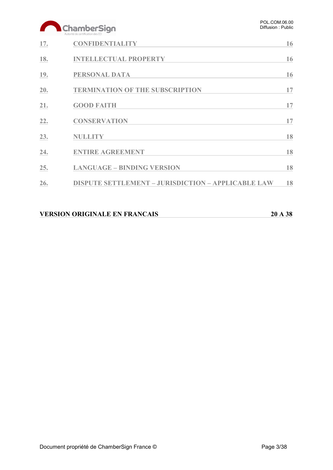# ChamberSign

|     | Autorité de certification des CCI                         |    |
|-----|-----------------------------------------------------------|----|
| 17. | <b>CONFIDENTIALITY</b>                                    | 16 |
| 18. | <b>INTELLECTUAL PROPERTY</b>                              | 16 |
| 19. | <b>PERSONAL DATA</b>                                      | 16 |
| 20. | <b>TERMINATION OF THE SUBSCRIPTION</b>                    | 17 |
| 21. | <b>GOOD FAITH</b>                                         | 17 |
| 22. | <b>CONSERVATION</b>                                       | 17 |
| 23. | <b>NULLITY</b>                                            | 18 |
| 24. | <b>ENTIRE AGREEMENT</b>                                   | 18 |
| 25. | <b>LANGUAGE - BINDING VERSION</b>                         | 18 |
| 26. | <b>DISPUTE SETTLEMENT - JURISDICTION - APPLICABLE LAW</b> | 18 |
|     |                                                           |    |

| <b>VERSION ORIGINALE EN FRANCAIS</b> | 20 A 38 |
|--------------------------------------|---------|
|                                      |         |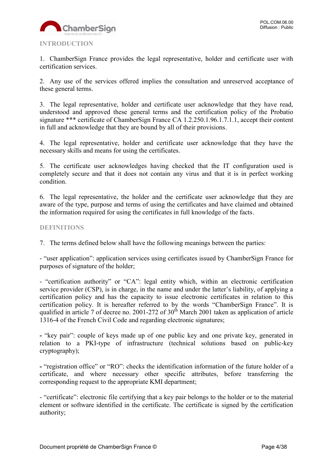

<span id="page-3-0"></span>1. ChamberSign France provides the legal representative, holder and certificate user with certification services.

2. Any use of the services offered implies the consultation and unreserved acceptance of these general terms.

3. The legal representative, holder and certificate user acknowledge that they have read, understood and approved these general terms and the certification policy of the Probatio signature \*\*\* certificate of ChamberSign France CA 1.2.250.1.96.1.7.1.1, accept their content in full and acknowledge that they are bound by all of their provisions.

4. The legal representative, holder and certificate user acknowledge that they have the necessary skills and means for using the certificates.

5. The certificate user acknowledges having checked that the IT configuration used is completely secure and that it does not contain any virus and that it is in perfect working condition.

6. The legal representative, the holder and the certificate user acknowledge that they are aware of the type, purpose and terms of using the certificates and have claimed and obtained the information required for using the certificates in full knowledge of the facts.

#### <span id="page-3-1"></span>**DEFINITIONS**

7. The terms defined below shall have the following meanings between the parties:

- "user application": application services using certificates issued by ChamberSign France for purposes of signature of the holder;

- "certification authority" or "CA": legal entity which, within an electronic certification service provider (CSP), is in charge, in the name and under the latter's liability, of applying a certification policy and has the capacity to issue electronic certificates in relation to this certification policy. It is hereafter referred to by the words "ChamberSign France". It is qualified in article 7 of decree no. 2001-272 of  $30<sup>th</sup>$  March 2001 taken as application of article 1316-4 of the French Civil Code and regarding electronic signatures;

**-** "key pair": couple of keys made up of one public key and one private key, generated in relation to a PKI-type of infrastructure (technical solutions based on public-key cryptography);

**-** "registration office" or "RO": checks the identification information of the future holder of a certificate, and where necessary other specific attributes, before transferring the corresponding request to the appropriate KMI department;

- "certificate": electronic file certifying that a key pair belongs to the holder or to the material element or software identified in the certificate. The certificate is signed by the certification authority;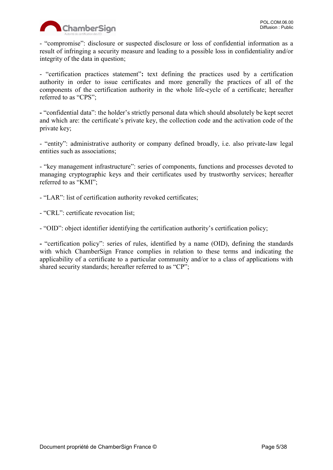

- "compromise": disclosure or suspected disclosure or loss of confidential information as a result of infringing a security measure and leading to a possible loss in confidentiality and/or integrity of the data in question;

- "certification practices statement"**:** text defining the practices used by a certification authority in order to issue certificates and more generally the practices of all of the components of the certification authority in the whole life-cycle of a certificate; hereafter referred to as "CPS";

**-** "confidential data": the holder's strictly personal data which should absolutely be kept secret and which are: the certificate's private key, the collection code and the activation code of the private key;

- "entity": administrative authority or company defined broadly, i.e. also private-law legal entities such as associations;

- "key management infrastructure": series of components, functions and processes devoted to managing cryptographic keys and their certificates used by trustworthy services; hereafter referred to as "KMI";

- "LAR": list of certification authority revoked certificates;

- "CRL": certificate revocation list;

- "OID": object identifier identifying the certification authority's certification policy;

**-** "certification policy": series of rules, identified by a name (OID), defining the standards with which ChamberSign France complies in relation to these terms and indicating the applicability of a certificate to a particular community and/or to a class of applications with shared security standards; hereafter referred to as "CP";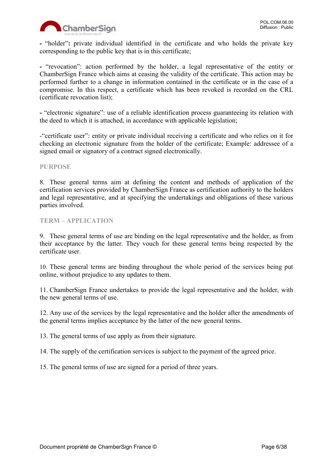

**-** "holder"**:** private individual identified in the certificate and who holds the private key corresponding to the public key that is in this certificate;

**-** "revocation": action performed by the holder, a legal representative of the entity or ChamberSign France which aims at ceasing the validity of the certificate. This action may be performed further to a change in information contained in the certificate or in the case of a compromise. In this respect, a certificate which has been revoked is recorded on the CRL (certificate revocation list);

**-** "electronic signature": use of a reliable identification process guaranteeing its relation with the deed to which it is attached, in accordance with applicable legislation;

-"certificate user": entity or private individual receiving a certificate and who relies on it for checking an electronic signature from the holder of the certificate; Example: addressee of a signed email or signatory of a contract signed electronically.

#### <span id="page-5-0"></span>**PURPOSE**

8. These general terms aim at defining the content and methods of application of the certification services provided by ChamberSign France as certification authority to the holders and legal representative, and at specifying the undertakings and obligations of these various parties involved.

#### <span id="page-5-1"></span>**TERM – APPLICATION**

9. These general terms of use are binding on the legal representative and the holder, as from their acceptance by the latter. They vouch for these general terms being respected by the certificate user.

10. These general terms are binding throughout the whole period of the services being put online, without prejudice to any updates to them.

11. ChamberSign France undertakes to provide the legal representative and the holder, with the new general terms of use.

12. Any use of the services by the legal representative and the holder after the amendments of the general terms implies acceptance by the latter of the new general terms.

13. The general terms of use apply as from their signature.

14. The supply of the certification services is subject to the payment of the agreed price.

15. The general terms of use are signed for a period of three years.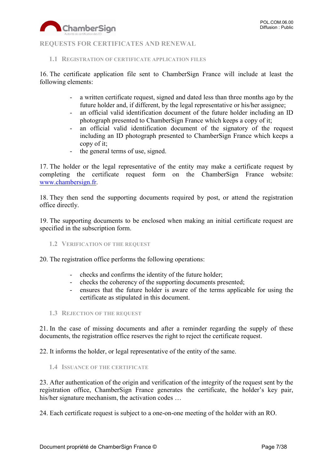

#### <span id="page-6-0"></span>**REQUESTS FOR CERTIFICATES AND RENEWAL**

#### <span id="page-6-1"></span>**1.1 REGISTRATION OF CERTIFICATE APPLICATION FILES**

16. The certificate application file sent to ChamberSign France will include at least the following elements:

- a written certificate request, signed and dated less than three months ago by the future holder and, if different, by the legal representative or his/her assignee;
- an official valid identification document of the future holder including an ID photograph presented to ChamberSign France which keeps a copy of it;
- an official valid identification document of the signatory of the request including an ID photograph presented to ChamberSign France which keeps a copy of it;
- the general terms of use, signed.

17. The holder or the legal representative of the entity may make a certificate request by completing the certificate request form on the ChamberSign France website: [www.chambersign.fr.](http://www.chambersign.fr/)

18. They then send the supporting documents required by post, or attend the registration office directly.

19. The supporting documents to be enclosed when making an initial certificate request are specified in the subscription form.

<span id="page-6-2"></span>**1.2 VERIFICATION OF THE REQUEST**

20. The registration office performs the following operations:

- checks and confirms the identity of the future holder;
- checks the coherency of the supporting documents presented;
- ensures that the future holder is aware of the terms applicable for using the certificate as stipulated in this document.
- <span id="page-6-3"></span>**1.3 REJECTION OF THE REQUEST**

21. In the case of missing documents and after a reminder regarding the supply of these documents, the registration office reserves the right to reject the certificate request.

22. It informs the holder, or legal representative of the entity of the same.

<span id="page-6-4"></span>**1.4 ISSUANCE OF THE CERTIFICATE**

23. After authentication of the origin and verification of the integrity of the request sent by the registration office, ChamberSign France generates the certificate, the holder's key pair, his/her signature mechanism, the activation codes ...

24. Each certificate request is subject to a one-on-one meeting of the holder with an RO.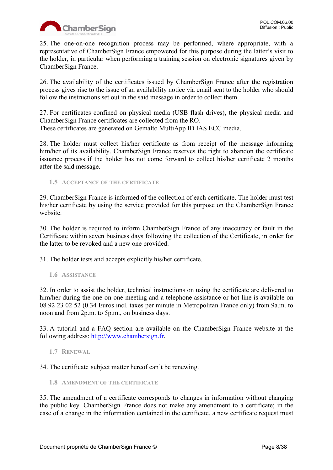

25. The one-on-one recognition process may be performed, where appropriate, with a representative of ChamberSign France empowered for this purpose during the latter's visit to the holder, in particular when performing a training session on electronic signatures given by ChamberSign France.

26. The availability of the certificates issued by ChamberSign France after the registration process gives rise to the issue of an availability notice via email sent to the holder who should follow the instructions set out in the said message in order to collect them.

27. For certificates confined on physical media (USB flash drives), the physical media and ChamberSign France certificates are collected from the RO. These certificates are generated on Gemalto MultiApp ID IAS ECC media.

28. The holder must collect his/her certificate as from receipt of the message informing him/her of its availability. ChamberSign France reserves the right to abandon the certificate issuance process if the holder has not come forward to collect his/her certificate 2 months after the said message.

<span id="page-7-0"></span>**1.5 ACCEPTANCE OF THE CERTIFICATE**

29. ChamberSign France is informed of the collection of each certificate. The holder must test his/her certificate by using the service provided for this purpose on the ChamberSign France website.

30. The holder is required to inform ChamberSign France of any inaccuracy or fault in the Certificate within seven business days following the collection of the Certificate, in order for the latter to be revoked and a new one provided.

31. The holder tests and accepts explicitly his/her certificate.

<span id="page-7-1"></span>**1.6 ASSISTANCE**

32. In order to assist the holder, technical instructions on using the certificate are delivered to him/her during the one-on-one meeting and a telephone assistance or hot line is available on 08 92 23 02 52 (0.34 Euros incl. taxes per minute in Metropolitan France only) from 9a.m. to noon and from 2p.m. to 5p.m., on business days.

33. A tutorial and a FAQ section are available on the ChamberSign France website at the following address: [http://www.chambersign.fr.](http://www.chambersign.fr/)

<span id="page-7-2"></span>**1.7 RENEWAL**

34. The certificate subject matter hereof can't be renewing.

<span id="page-7-3"></span>**1.8 AMENDMENT OF THE CERTIFICATE**

35. The amendment of a certificate corresponds to changes in information without changing the public key. ChamberSign France does not make any amendment to a certificate; in the case of a change in the information contained in the certificate, a new certificate request must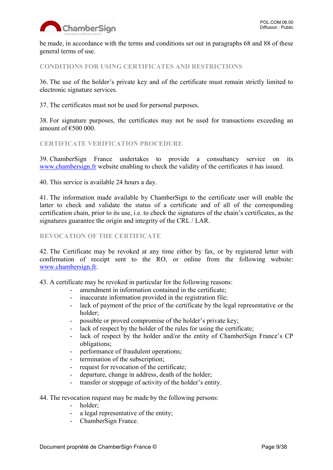

be made, in accordance with the terms and conditions set out in paragraphs 68 and 88 of these general terms of use.

# <span id="page-8-0"></span>**CONDITIONS FOR USING CERTIFICATES AND RESTRICTIONS**

36. The use of the holder's private key and of the certificate must remain strictly limited to electronic signature services.

37. The certificates must not be used for personal purposes.

38. For signature purposes, the certificates may not be used for transactions exceeding an amount of  $€500000$ .

### <span id="page-8-1"></span>**CERTIFICATE VERIFICATION PROCEDURE**

39. ChamberSign France undertakes to provide a consultancy service on its [www.chambersign.fr](http://www.chambersign.fr/) website enabling to check the validity of the certificates it has issued.

40. This service is available 24 hours a day.

41. The information made available by ChamberSign to the certificate user will enable the latter to check and validate the status of a certificate and of all of the corresponding certification chain, prior to its use, i.e. to check the signatures of the chain's certificates, as the signatures guarantee the origin and integrity of the CRL / LAR.

# <span id="page-8-2"></span>**REVOCATION OF THE CERTIFICATE**

42. The Certificate may be revoked at any time either by fax, or by registered letter with confirmation of receipt sent to the RO, or online from the following website: [www.chambersign.fr.](http://www.chambersign.fr/)

43. A certificate may be revoked in particular for the following reasons:

- amendment in information contained in the certificate;
- inaccurate information provided in the registration file;
- lack of payment of the price of the certificate by the legal representative or the holder;
- possible or proved compromise of the holder's private key;
- lack of respect by the holder of the rules for using the certificate;
- lack of respect by the holder and/or the entity of ChamberSign France's CP obligations;
- performance of fraudulent operations;
- termination of the subscription;
- request for revocation of the certificate;
- departure, change in address, death of the holder;
- transfer or stoppage of activity of the holder's entity.

#### 44. The revocation request may be made by the following persons:

- holder;
- a legal representative of the entity;
- ChamberSign France.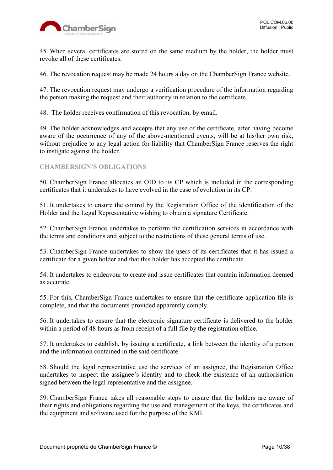

45. When several certificates are stored on the same medium by the holder, the holder must revoke all of these certificates.

46. The revocation request may be made 24 hours a day on the ChamberSign France website.

47. The revocation request may undergo a verification procedure of the information regarding the person making the request and their authority in relation to the certificate.

48. The holder receives confirmation of this revocation, by email.

49. The holder acknowledges and accepts that any use of the certificate, after having become aware of the occurrence of any of the above-mentioned events, will be at his/her own risk, without prejudice to any legal action for liability that ChamberSign France reserves the right to instigate against the holder.

#### <span id="page-9-0"></span>**CHAMBERSIGN'S OBLIGATIONS**

50. ChamberSign France allocates an OID to its CP which is included in the corresponding certificates that it undertakes to have evolved in the case of evolution in its CP.

51. It undertakes to ensure the control by the Registration Office of the identification of the Holder and the Legal Representative wishing to obtain a signature Certificate.

52. ChamberSign France undertakes to perform the certification services in accordance with the terms and conditions and subject to the restrictions of these general terms of use.

53. ChamberSign France undertakes to show the users of its certificates that it has issued a certificate for a given holder and that this holder has accepted the certificate.

54. It undertakes to endeavour to create and issue certificates that contain information deemed as accurate.

55. For this, ChamberSign France undertakes to ensure that the certificate application file is complete, and that the documents provided apparently comply.

56. It undertakes to ensure that the electronic signature certificate is delivered to the holder within a period of 48 hours as from receipt of a full file by the registration office.

57. It undertakes to establish, by issuing a certificate, a link between the identity of a person and the information contained in the said certificate.

58. Should the legal representative use the services of an assignee, the Registration Office undertakes to inspect the assignee's identity and to check the existence of an authorisation signed between the legal representative and the assignee.

59. ChamberSign France takes all reasonable steps to ensure that the holders are aware of their rights and obligations regarding the use and management of the keys, the certificates and the equipment and software used for the purpose of the KMI.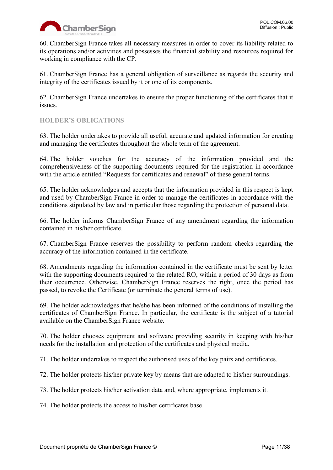

60. ChamberSign France takes all necessary measures in order to cover its liability related to its operations and/or activities and possesses the financial stability and resources required for working in compliance with the CP.

61. ChamberSign France has a general obligation of surveillance as regards the security and integrity of the certificates issued by it or one of its components.

62. ChamberSign France undertakes to ensure the proper functioning of the certificates that it issues.

# <span id="page-10-0"></span>**HOLDER'S OBLIGATIONS**

63. The holder undertakes to provide all useful, accurate and updated information for creating and managing the certificates throughout the whole term of the agreement.

64. The holder vouches for the accuracy of the information provided and the comprehensiveness of the supporting documents required for the registration in accordance with the article entitled "Requests for certificates and renewal" of these general terms.

65. The holder acknowledges and accepts that the information provided in this respect is kept and used by ChamberSign France in order to manage the certificates in accordance with the conditions stipulated by law and in particular those regarding the protection of personal data.

66. The holder informs ChamberSign France of any amendment regarding the information contained in his/her certificate.

67. ChamberSign France reserves the possibility to perform random checks regarding the accuracy of the information contained in the certificate.

68. Amendments regarding the information contained in the certificate must be sent by letter with the supporting documents required to the related RO, within a period of 30 days as from their occurrence. Otherwise, ChamberSign France reserves the right, once the period has passed, to revoke the Certificate (or terminate the general terms of use).

69. The holder acknowledges that he/she has been informed of the conditions of installing the certificates of ChamberSign France. In particular, the certificate is the subject of a tutorial available on the ChamberSign France website.

70. The holder chooses equipment and software providing security in keeping with his/her needs for the installation and protection of the certificates and physical media.

71. The holder undertakes to respect the authorised uses of the key pairs and certificates.

72. The holder protects his/her private key by means that are adapted to his/her surroundings.

73. The holder protects his/her activation data and, where appropriate, implements it.

74. The holder protects the access to his/her certificates base.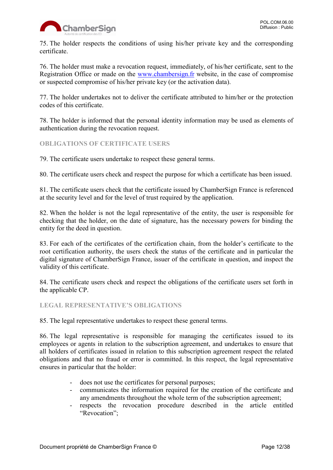

75. The holder respects the conditions of using his/her private key and the corresponding certificate.

76. The holder must make a revocation request, immediately, of his/her certificate, sent to the Registration Office or made on the [www.chambersign.fr](http://www.chambersign.fr/) website, in the case of compromise or suspected compromise of his/her private key (or the activation data).

77. The holder undertakes not to deliver the certificate attributed to him/her or the protection codes of this certificate.

78. The holder is informed that the personal identity information may be used as elements of authentication during the revocation request.

# <span id="page-11-0"></span>**OBLIGATIONS OF CERTIFICATE USERS**

79. The certificate users undertake to respect these general terms.

80. The certificate users check and respect the purpose for which a certificate has been issued.

81. The certificate users check that the certificate issued by ChamberSign France is referenced at the security level and for the level of trust required by the application.

82. When the holder is not the legal representative of the entity, the user is responsible for checking that the holder, on the date of signature, has the necessary powers for binding the entity for the deed in question.

83. For each of the certificates of the certification chain, from the holder's certificate to the root certification authority, the users check the status of the certificate and in particular the digital signature of ChamberSign France, issuer of the certificate in question, and inspect the validity of this certificate.

84. The certificate users check and respect the obligations of the certificate users set forth in the applicable CP.

#### <span id="page-11-1"></span>**LEGAL REPRESENTATIVE'S OBLIGATIONS**

85. The legal representative undertakes to respect these general terms.

86. The legal representative is responsible for managing the certificates issued to its employees or agents in relation to the subscription agreement, and undertakes to ensure that all holders of certificates issued in relation to this subscription agreement respect the related obligations and that no fraud or error is committed. In this respect, the legal representative ensures in particular that the holder:

- does not use the certificates for personal purposes;
- communicates the information required for the creation of the certificate and any amendments throughout the whole term of the subscription agreement;
- respects the revocation procedure described in the article entitled "Revocation":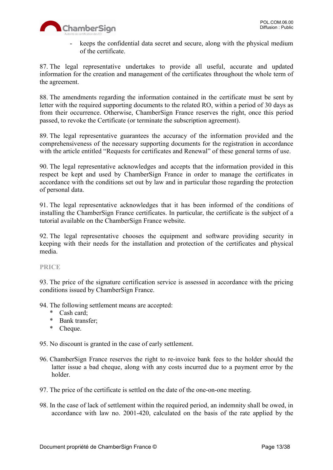

- keeps the confidential data secret and secure, along with the physical medium of the certificate.

87. The legal representative undertakes to provide all useful, accurate and updated information for the creation and management of the certificates throughout the whole term of the agreement.

88. The amendments regarding the information contained in the certificate must be sent by letter with the required supporting documents to the related RO, within a period of 30 days as from their occurrence. Otherwise, ChamberSign France reserves the right, once this period passed, to revoke the Certificate (or terminate the subscription agreement).

89. The legal representative guarantees the accuracy of the information provided and the comprehensiveness of the necessary supporting documents for the registration in accordance with the article entitled "Requests for certificates and Renewal" of these general terms of use.

90. The legal representative acknowledges and accepts that the information provided in this respect be kept and used by ChamberSign France in order to manage the certificates in accordance with the conditions set out by law and in particular those regarding the protection of personal data.

91. The legal representative acknowledges that it has been informed of the conditions of installing the ChamberSign France certificates. In particular, the certificate is the subject of a tutorial available on the ChamberSign France website.

92. The legal representative chooses the equipment and software providing security in keeping with their needs for the installation and protection of the certificates and physical media.

<span id="page-12-0"></span>**PRICE**

93. The price of the signature certification service is assessed in accordance with the pricing conditions issued by ChamberSign France.

94. The following settlement means are accepted:

- \* Cash card;
- \* Bank transfer;
- \* Cheque.

95. No discount is granted in the case of early settlement.

- 96. ChamberSign France reserves the right to re-invoice bank fees to the holder should the latter issue a bad cheque, along with any costs incurred due to a payment error by the holder.
- 97. The price of the certificate is settled on the date of the one-on-one meeting.
- 98. In the case of lack of settlement within the required period, an indemnity shall be owed, in accordance with law no. 2001-420, calculated on the basis of the rate applied by the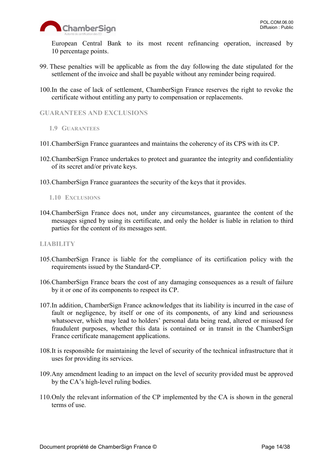

European Central Bank to its most recent refinancing operation, increased by 10 percentage points.

- 99. These penalties will be applicable as from the day following the date stipulated for the settlement of the invoice and shall be payable without any reminder being required.
- 100.In the case of lack of settlement, ChamberSign France reserves the right to revoke the certificate without entitling any party to compensation or replacements.

<span id="page-13-0"></span>**GUARANTEES AND EXCLUSIONS**

- <span id="page-13-1"></span>**1.9 GUARANTEES**
- 101.ChamberSign France guarantees and maintains the coherency of its CPS with its CP.
- 102.ChamberSign France undertakes to protect and guarantee the integrity and confidentiality of its secret and/or private keys.
- 103.ChamberSign France guarantees the security of the keys that it provides.

<span id="page-13-2"></span>**1.10 EXCLUSIONS**

104.ChamberSign France does not, under any circumstances, guarantee the content of the messages signed by using its certificate, and only the holder is liable in relation to third parties for the content of its messages sent.

### <span id="page-13-3"></span>**LIABILITY**

- 105.ChamberSign France is liable for the compliance of its certification policy with the requirements issued by the Standard-CP.
- 106.ChamberSign France bears the cost of any damaging consequences as a result of failure by it or one of its components to respect its CP.
- 107.In addition, ChamberSign France acknowledges that its liability is incurred in the case of fault or negligence, by itself or one of its components, of any kind and seriousness whatsoever, which may lead to holders' personal data being read, altered or misused for fraudulent purposes, whether this data is contained or in transit in the ChamberSign France certificate management applications.
- 108.It is responsible for maintaining the level of security of the technical infrastructure that it uses for providing its services.
- 109.Any amendment leading to an impact on the level of security provided must be approved by the CA's high-level ruling bodies.
- 110.Only the relevant information of the CP implemented by the CA is shown in the general terms of use.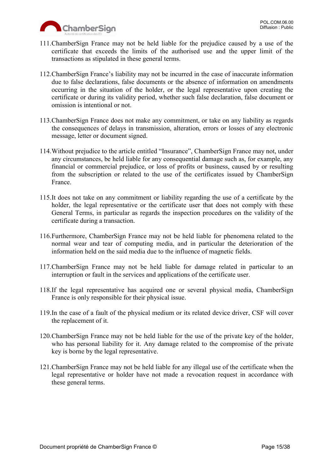

- 111.ChamberSign France may not be held liable for the prejudice caused by a use of the certificate that exceeds the limits of the authorised use and the upper limit of the transactions as stipulated in these general terms.
- 112.ChamberSign France's liability may not be incurred in the case of inaccurate information due to false declarations, false documents or the absence of information on amendments occurring in the situation of the holder, or the legal representative upon creating the certificate or during its validity period, whether such false declaration, false document or omission is intentional or not.
- 113.ChamberSign France does not make any commitment, or take on any liability as regards the consequences of delays in transmission, alteration, errors or losses of any electronic message, letter or document signed.
- 114.Without prejudice to the article entitled "Insurance", ChamberSign France may not, under any circumstances, be held liable for any consequential damage such as, for example, any financial or commercial prejudice, or loss of profits or business, caused by or resulting from the subscription or related to the use of the certificates issued by ChamberSign France.
- 115.It does not take on any commitment or liability regarding the use of a certificate by the holder, the legal representative or the certificate user that does not comply with these General Terms, in particular as regards the inspection procedures on the validity of the certificate during a transaction.
- 116.Furthermore, ChamberSign France may not be held liable for phenomena related to the normal wear and tear of computing media, and in particular the deterioration of the information held on the said media due to the influence of magnetic fields.
- 117.ChamberSign France may not be held liable for damage related in particular to an interruption or fault in the services and applications of the certificate user.
- 118.If the legal representative has acquired one or several physical media, ChamberSign France is only responsible for their physical issue.
- 119.In the case of a fault of the physical medium or its related device driver, CSF will cover the replacement of it.
- 120.ChamberSign France may not be held liable for the use of the private key of the holder, who has personal liability for it. Any damage related to the compromise of the private key is borne by the legal representative.
- 121.ChamberSign France may not be held liable for any illegal use of the certificate when the legal representative or holder have not made a revocation request in accordance with these general terms.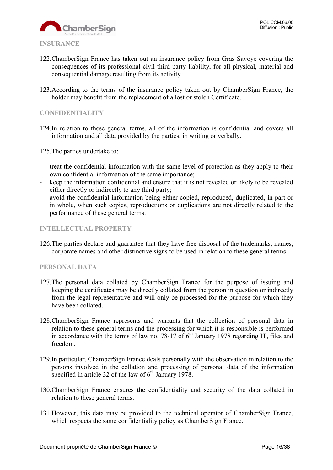

- <span id="page-15-0"></span>122.ChamberSign France has taken out an insurance policy from Gras Savoye covering the consequences of its professional civil third-party liability, for all physical, material and consequential damage resulting from its activity.
- 123.According to the terms of the insurance policy taken out by ChamberSign France, the holder may benefit from the replacement of a lost or stolen Certificate.

## <span id="page-15-1"></span>**CONFIDENTIALITY**

124.In relation to these general terms, all of the information is confidential and covers all information and all data provided by the parties, in writing or verbally.

125.The parties undertake to:

- treat the confidential information with the same level of protection as they apply to their own confidential information of the same importance;
- keep the information confidential and ensure that it is not revealed or likely to be revealed either directly or indirectly to any third party;
- avoid the confidential information being either copied, reproduced, duplicated, in part or in whole, when such copies, reproductions or duplications are not directly related to the performance of these general terms.

#### <span id="page-15-2"></span>**INTELLECTUAL PROPERTY**

126.The parties declare and guarantee that they have free disposal of the trademarks, names, corporate names and other distinctive signs to be used in relation to these general terms.

#### <span id="page-15-3"></span>**PERSONAL DATA**

- 127.The personal data collated by ChamberSign France for the purpose of issuing and keeping the certificates may be directly collated from the person in question or indirectly from the legal representative and will only be processed for the purpose for which they have been collated.
- 128.ChamberSign France represents and warrants that the collection of personal data in relation to these general terms and the processing for which it is responsible is performed in accordance with the terms of law no. 78-17 of  $6<sup>th</sup>$  January 1978 regarding IT, files and freedom.
- 129.In particular, ChamberSign France deals personally with the observation in relation to the persons involved in the collation and processing of personal data of the information specified in article 32 of the law of  $6<sup>th</sup>$  January 1978.
- 130.ChamberSign France ensures the confidentiality and security of the data collated in relation to these general terms.
- 131.However, this data may be provided to the technical operator of ChamberSign France, which respects the same confidentiality policy as ChamberSign France.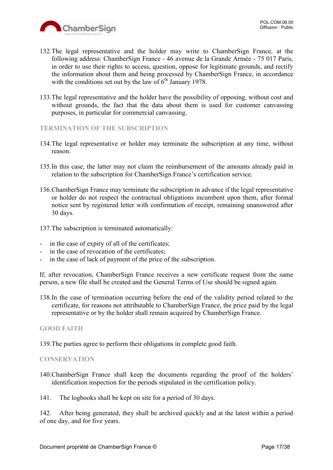

- 132.The legal representative and the holder may write to ChamberSign France, at the following address: ChamberSign France - 46 avenue de la Grande Armée - 75 017 Paris, in order to use their rights to access, question, oppose for legitimate grounds, and rectify the information about them and being processed by ChamberSign France, in accordance with the conditions set out by the law of  $6<sup>th</sup>$  January 1978.
- 133.The legal representative and the holder have the possibility of opposing, without cost and without grounds, the fact that the data about them is used for customer canvassing purposes, in particular for commercial canvassing.
- <span id="page-16-0"></span>**TERMINATION OF THE SUBSCRIPTION**
- 134.The legal representative or holder may terminate the subscription at any time, without reason.
- 135.In this case, the latter may not claim the reimbursement of the amounts already paid in relation to the subscription for ChamberSign France's certification service.
- 136.ChamberSign France may terminate the subscription in advance if the legal representative or holder do not respect the contractual obligations incumbent upon them, after formal notice sent by registered letter with confirmation of receipt, remaining unanswered after 30 days.
- 137.The subscription is terminated automatically:
- in the case of expiry of all of the certificates;
- in the case of revocation of the certificates;
- in the case of lack of payment of the price of the subscription.

If, after revocation, ChamberSign France receives a new certificate request from the same person, a new file shall be created and the General Terms of Use should be signed again.

138.In the case of termination occurring before the end of the validity period related to the certificate, for reasons not attributable to ChamberSign France, the price paid by the legal representative or by the holder shall remain acquired by ChamberSign France.

#### <span id="page-16-1"></span>**GOOD FAITH**

139.The parties agree to perform their obligations in complete good faith.

#### <span id="page-16-2"></span>**CONSERVATION**

140.ChamberSign France shall keep the documents regarding the proof of the holders' identification inspection for the periods stipulated in the certification policy.

141. The logbooks shall be kept on site for a period of 30 days.

142. After being generated, they shall be archived quickly and at the latest within a period of one day, and for five years.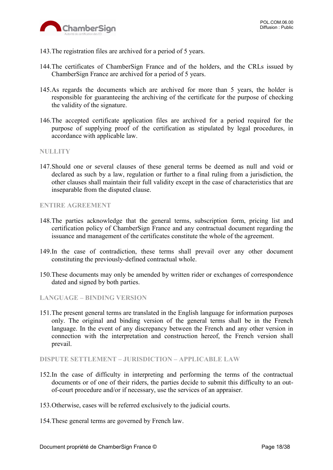

- 143.The registration files are archived for a period of 5 years.
- 144.The certificates of ChamberSign France and of the holders, and the CRLs issued by ChamberSign France are archived for a period of 5 years.
- 145.As regards the documents which are archived for more than 5 years, the holder is responsible for guaranteeing the archiving of the certificate for the purpose of checking the validity of the signature.
- 146.The accepted certificate application files are archived for a period required for the purpose of supplying proof of the certification as stipulated by legal procedures, in accordance with applicable law.

#### <span id="page-17-0"></span>**NULLITY**

147.Should one or several clauses of these general terms be deemed as null and void or declared as such by a law, regulation or further to a final ruling from a jurisdiction, the other clauses shall maintain their full validity except in the case of characteristics that are inseparable from the disputed clause.

#### <span id="page-17-1"></span>**ENTIRE AGREEMENT**

- 148.The parties acknowledge that the general terms, subscription form, pricing list and certification policy of ChamberSign France and any contractual document regarding the issuance and management of the certificates constitute the whole of the agreement.
- 149.In the case of contradiction, these terms shall prevail over any other document constituting the previously-defined contractual whole.
- 150.These documents may only be amended by written rider or exchanges of correspondence dated and signed by both parties.

<span id="page-17-2"></span>**LANGUAGE – BINDING VERSION**

151.The present general terms are translated in the English language for information purposes only. The original and binding version of the general terms shall be in the French language. In the event of any discrepancy between the French and any other version in connection with the interpretation and construction hereof, the French version shall prevail.

<span id="page-17-3"></span>**DISPUTE SETTLEMENT – JURISDICTION – APPLICABLE LAW**

- 152.In the case of difficulty in interpreting and performing the terms of the contractual documents or of one of their riders, the parties decide to submit this difficulty to an outof-court procedure and/or if necessary, use the services of an appraiser.
- 153.Otherwise, cases will be referred exclusively to the judicial courts.
- 154.These general terms are governed by French law.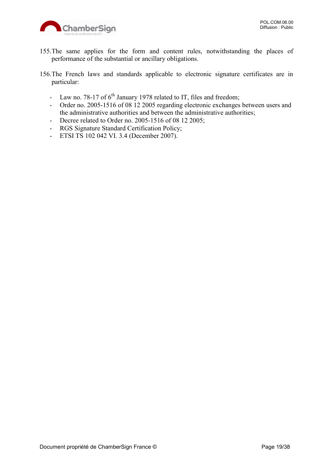

- 155.The same applies for the form and content rules, notwithstanding the places of performance of the substantial or ancillary obligations.
- 156.The French laws and standards applicable to electronic signature certificates are in particular:
	- Law no. 78-17 of  $6<sup>th</sup>$  January 1978 related to IT, files and freedom;
	- Order no. 2005-1516 of 08 12 2005 regarding electronic exchanges between users and the administrative authorities and between the administrative authorities;
	- Decree related to Order no. 2005-1516 of 08 12 2005;
	- RGS Signature Standard Certification Policy;
	- ETSI TS 102 042 VI. 3.4 (December 2007).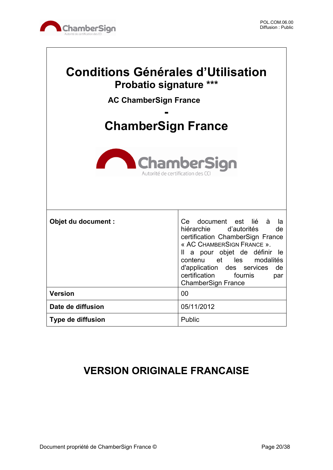

 $\sqrt{ }$ 

| <b>Conditions Générales d'Utilisation</b><br><b>Probatio signature ***</b><br><b>AC ChamberSign France</b><br><b>ChamberSign France</b> |                                                                                                                                                                                                                                                                                                   |  |
|-----------------------------------------------------------------------------------------------------------------------------------------|---------------------------------------------------------------------------------------------------------------------------------------------------------------------------------------------------------------------------------------------------------------------------------------------------|--|
| <b>ChamberSign</b><br>Autorité de certification de                                                                                      |                                                                                                                                                                                                                                                                                                   |  |
| Objet du document :                                                                                                                     | Ce document est lié<br>à<br>la<br>hiérarchie d'autorités<br>de<br>certification ChamberSign France<br>« AC CHAMBERSIGN FRANCE ».<br>Il a pour objet de définir<br>-le<br>contenu et les modalités<br>d'application<br>des services<br>de<br>certification<br>fournis<br>par<br>ChamberSign France |  |
| <b>Version</b>                                                                                                                          | 0 <sub>0</sub>                                                                                                                                                                                                                                                                                    |  |
| Date de diffusion                                                                                                                       | 05/11/2012                                                                                                                                                                                                                                                                                        |  |
| Type de diffusion                                                                                                                       | Public                                                                                                                                                                                                                                                                                            |  |

# **VERSION ORIGINALE FRANCAISE**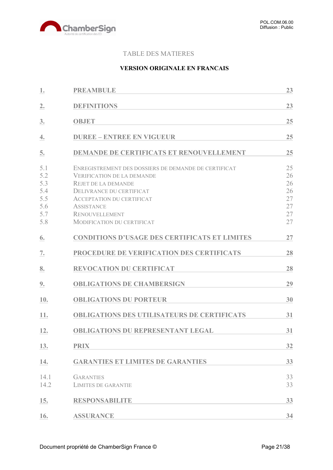

# TABLE DES MATIERES

# **VERSION ORIGINALE EN FRANCAIS**

| 1.                                                   | <b>PREAMBULE</b>                                                                                                                                                                                                                                                           | 23                                           |
|------------------------------------------------------|----------------------------------------------------------------------------------------------------------------------------------------------------------------------------------------------------------------------------------------------------------------------------|----------------------------------------------|
| 2.                                                   | <b>DEFINITIONS</b>                                                                                                                                                                                                                                                         | 23                                           |
| 3.                                                   | <b>OBJET</b>                                                                                                                                                                                                                                                               | 25                                           |
| 4.                                                   | <b>DUREE - ENTREE EN VIGUEUR</b>                                                                                                                                                                                                                                           | 25                                           |
| 5.                                                   | <b>DEMANDE DE CERTIFICATS ET RENOUVELLEMENT</b>                                                                                                                                                                                                                            | 25                                           |
| 5.1<br>5.2<br>5.3<br>5.4<br>5.5<br>5.6<br>5.7<br>5.8 | ENREGISTREMENT DES DOSSIERS DE DEMANDE DE CERTIFICAT<br><b>VERIFICATION DE LA DEMANDE</b><br><b>REJET DE LA DEMANDE</b><br>DELIVRANCE DU CERTIFICAT<br><b>ACCEPTATION DU CERTIFICAT</b><br><b>ASSISTANCE</b><br><b>RENOUVELLEMENT</b><br><b>MODIFICATION DU CERTIFICAT</b> | 25<br>26<br>26<br>26<br>27<br>27<br>27<br>27 |
| 6.                                                   | <b>CONDITIONS D'USAGE DES CERTIFICATS ET LIMITES</b>                                                                                                                                                                                                                       | 27                                           |
| 7.                                                   | PROCEDURE DE VERIFICATION DES CERTIFICATS                                                                                                                                                                                                                                  | 28                                           |
| 8.                                                   | <b>REVOCATION DU CERTIFICAT</b>                                                                                                                                                                                                                                            | 28                                           |
| 9.                                                   | <b>OBLIGATIONS DE CHAMBERSIGN</b>                                                                                                                                                                                                                                          | 29                                           |
| 10.                                                  | <b>OBLIGATIONS DU PORTEUR</b>                                                                                                                                                                                                                                              | 30                                           |
| 11.                                                  | <b>OBLIGATIONS DES UTILISATEURS DE CERTIFICATS</b>                                                                                                                                                                                                                         | 31                                           |
| 12.                                                  | <b>OBLIGATIONS DU REPRESENTANT LEGAL</b>                                                                                                                                                                                                                                   | 31                                           |
| 13.                                                  | <b>PRIX</b>                                                                                                                                                                                                                                                                | 32                                           |
| 14.                                                  | <b>GARANTIES ET LIMITES DE GARANTIES</b>                                                                                                                                                                                                                                   | 33                                           |
| 14.1<br>14.2                                         | <b>GARANTIES</b><br><b>LIMITES DE GARANTIE</b>                                                                                                                                                                                                                             | 33<br>33                                     |
| 15.                                                  | <b>RESPONSABILITE</b>                                                                                                                                                                                                                                                      | 33                                           |
| 16.                                                  | <b>ASSURANCE</b>                                                                                                                                                                                                                                                           | 34                                           |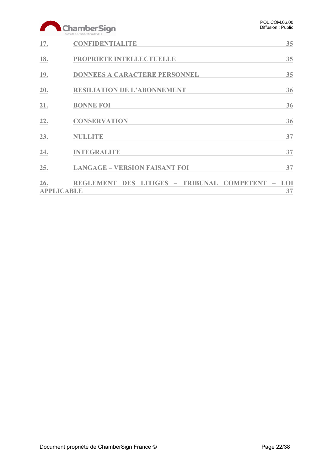# ChamberSign

| 17.                      | <b>CONFIDENTIALITE</b>                           | 35 |
|--------------------------|--------------------------------------------------|----|
| 18.                      | PROPRIETE INTELLECTUELLE                         | 35 |
| 19.                      | <b>DONNEES A CARACTERE PERSONNEL</b>             | 35 |
| 20.                      | <b>RESILIATION DE L'ABONNEMENT</b>               | 36 |
| 21.                      | <b>BONNE FOI</b>                                 | 36 |
| 22.                      | <b>CONSERVATION</b>                              | 36 |
| 23.                      | <b>NULLITE</b>                                   | 37 |
| 24.                      | <b>INTEGRALITE</b>                               | 37 |
| 25.                      | <b>LANGAGE - VERSION FAISANT FOI</b>             | 37 |
| 26.<br><b>APPLICABLE</b> | REGLEMENT DES LITIGES - TRIBUNAL COMPETENT - LOI | 37 |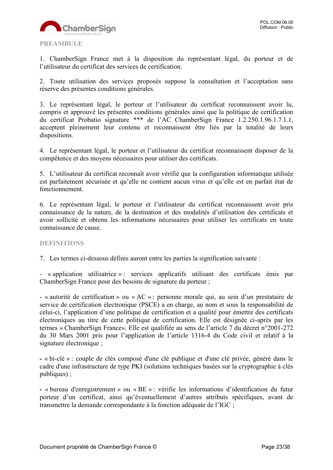

<span id="page-22-0"></span>1. ChamberSign France met à la disposition du représentant légal, du porteur et de l'utilisateur du certificat des services de certification.

2. Toute utilisation des services proposés suppose la consultation et l'acceptation sans réserve des présentes conditions générales.

3. Le représentant légal, le porteur et l'utilisateur du certificat reconnaissent avoir lu, compris et approuvé les présentes conditions générales ainsi que la politique de certification du certificat Probatio signature \*\*\* de l'AC ChamberSign France 1.2.250.1.96.1.7.1.1, acceptent pleinement leur contenu et reconnaissent être liés par la totalité de leurs dispositions.

4. Le représentant légal, le porteur et l'utilisateur du certificat reconnaissent disposer de la compétence et des moyens nécessaires pour utiliser des certificats.

5. L'utilisateur du certificat reconnaît avoir vérifié que la configuration informatique utilisée est parfaitement sécurisée et qu'elle ne contient aucun virus et qu'elle est en parfait état de fonctionnement.

6. Le représentant légal, le porteur et l'utilisateur du certificat reconnaissent avoir pris connaissance de la nature, de la destination et des modalités d'utilisation des certificats et avoir sollicité et obtenu les informations nécessaires pour utiliser les certificats en toute connaissance de cause.

#### <span id="page-22-1"></span>**DEFINITIONS**

7. Les termes ci-dessous définis auront entre les parties la signification suivante :

- « application utilisatrice » : services applicatifs utilisant des certificats émis par ChamberSign France pour des besoins de signature du porteur ;

- « autorité de certification » ou « AC » : personne morale qui, au sein d'un prestataire de service de certification électronique (PSCE) a en charge, au nom et sous la responsabilité de celui-ci, l'application d'une politique de certification et a qualité pour émettre des certificats électroniques au titre de cette politique de certification. Elle est désignée ci-après par les termes « ChamberSign France». Elle est qualifiée au sens de l'article 7 du décret n°2001-272 du 30 Mars 2001 pris pour l'application de l'article 1316-4 du Code civil et relatif à la signature électronique ;

**-** « bi-clé » : couple de clés composé d'une clé publique et d'une clé privée, généré dans le cadre d'une infrastructure de type PKI (solutions techniques basées sur la cryptographie à clés publiques) ;

**-** « bureau d'enregistrement » ou « BE » : vérifie les informations d'identification du futur porteur d'un certificat, ainsi qu'éventuellement d'autres attributs spécifiques, avant de transmettre la demande correspondante à la fonction adéquate de l'IGC ;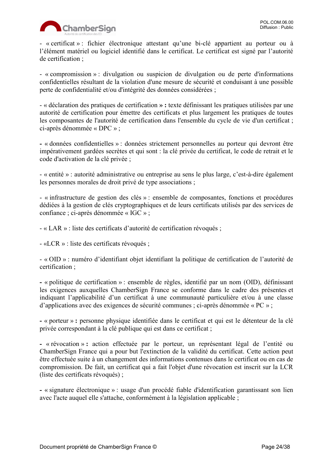

- « certificat » : fichier électronique attestant qu'une bi-clé appartient au porteur ou à l'élément matériel ou logiciel identifié dans le certificat. Le certificat est signé par l'autorité de certification ;

- « compromission » : divulgation ou suspicion de divulgation ou de perte d'informations confidentielles résultant de la violation d'une mesure de sécurité et conduisant à une possible perte de confidentialité et/ou d'intégrité des données considérées ;

- « déclaration des pratiques de certification **» :** texte définissant les pratiques utilisées par une autorité de certification pour émettre des certificats et plus largement les pratiques de toutes les composantes de l'autorité de certification dans l'ensemble du cycle de vie d'un certificat ; ci-après dénommée « DPC » ;

**-** « données confidentielles » : données strictement personnelles au porteur qui devront être impérativement gardées secrètes et qui sont : la clé privée du certificat, le code de retrait et le code d'activation de la clé privée ;

- « entité » : autorité administrative ou entreprise au sens le plus large, c'est-à-dire également les personnes morales de droit privé de type associations ;

- « infrastructure de gestion des clés » : ensemble de composantes, fonctions et procédures dédiées à la gestion de clés cryptographiques et de leurs certificats utilisés par des services de confiance ; ci-après dénommée « IGC » ;

- « LAR » : liste des certificats d'autorité de certification révoqués ;

- «LCR » : liste des certificats révoqués ;

- « OID » : numéro d'identifiant objet identifiant la politique de certification de l'autorité de certification ;

**-** « politique de certification » : ensemble de règles, identifié par un nom (OID), définissant les exigences auxquelles ChamberSign France se conforme dans le cadre des présentes et indiquant l'applicabilité d'un certificat à une communauté particulière et/ou à une classe d'applications avec des exigences de sécurité communes ; ci-après dénommée « PC » ;

**-** « porteur » **:** personne physique identifiée dans le certificat et qui est le détenteur de la clé privée correspondant à la clé publique qui est dans ce certificat ;

**-** « révocation » **:** action effectuée par le porteur, un représentant légal de l'entité ou ChamberSign France qui a pour but l'extinction de la validité du certificat. Cette action peut être effectuée suite à un changement des informations contenues dans le certificat ou en cas de compromission. De fait, un certificat qui a fait l'objet d'une révocation est inscrit sur la LCR (liste des certificats révoqués) ;

**-** « signature électronique » : usage d'un procédé fiable d'identification garantissant son lien avec l'acte auquel elle s'attache, conformément à la législation applicable ;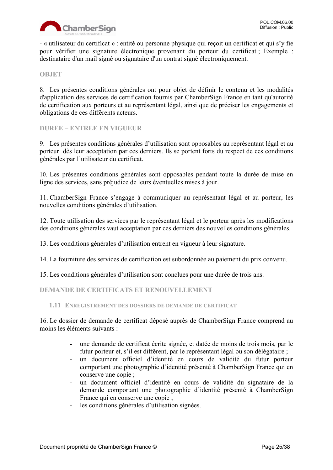

- « utilisateur du certificat » : entité ou personne physique qui reçoit un certificat et qui s'y fie pour vérifier une signature électronique provenant du porteur du certificat ; Exemple : destinataire d'un mail signé ou signataire d'un contrat signé électroniquement.

<span id="page-24-0"></span>**OBJET**

8. Les présentes conditions générales ont pour objet de définir le contenu et les modalités d'application des services de certification fournis par ChamberSign France en tant qu'autorité de certification aux porteurs et au représentant légal, ainsi que de préciser les engagements et obligations de ces différents acteurs.

<span id="page-24-1"></span>**DUREE – ENTREE EN VIGUEUR**

9. Les présentes conditions générales d'utilisation sont opposables au représentant légal et au porteur dès leur acceptation par ces derniers. Ils se portent forts du respect de ces conditions générales par l'utilisateur du certificat.

10. Les présentes conditions générales sont opposables pendant toute la durée de mise en ligne des services, sans préjudice de leurs éventuelles mises à jour.

11. ChamberSign France s'engage à communiquer au représentant légal et au porteur, les nouvelles conditions générales d'utilisation.

12. Toute utilisation des services par le représentant légal et le porteur après les modifications des conditions générales vaut acceptation par ces derniers des nouvelles conditions générales.

13. Les conditions générales d'utilisation entrent en vigueur à leur signature.

14. La fourniture des services de certification est subordonnée au paiement du prix convenu.

15. Les conditions générales d'utilisation sont conclues pour une durée de trois ans.

<span id="page-24-2"></span>**DEMANDE DE CERTIFICATS ET RENOUVELLEMENT**

<span id="page-24-3"></span>**1.11 ENREGISTREMENT DES DOSSIERS DE DEMANDE DE CERTIFICAT**

16. Le dossier de demande de certificat déposé auprès de ChamberSign France comprend au moins les éléments suivants :

- une demande de certificat écrite signée, et datée de moins de trois mois, par le futur porteur et, s'il est différent, par le représentant légal ou son délégataire ;
- un document officiel d'identité en cours de validité du futur porteur comportant une photographie d'identité présenté à ChamberSign France qui en conserve une copie ;
- un document officiel d'identité en cours de validité du signataire de la demande comportant une photographie d'identité présenté à ChamberSign France qui en conserve une copie ;
- les conditions générales d'utilisation signées.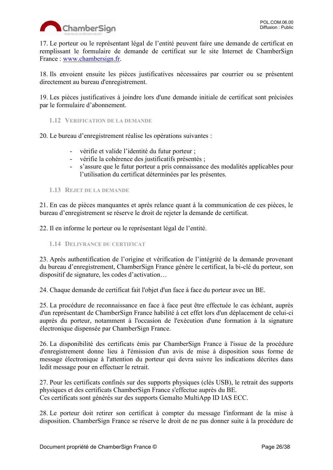

17. Le porteur ou le représentant légal de l'entité peuvent faire une demande de certificat en remplissant le formulaire de demande de certificat sur le site Internet de ChamberSign France: [www.chambersign.fr.](http://www.chambersign.fr/)

18. Ils envoient ensuite les pièces justificatives nécessaires par courrier ou se présentent directement au bureau d'enregistrement.

19. Les pièces justificatives à joindre lors d'une demande initiale de certificat sont précisées par le formulaire d'abonnement.

<span id="page-25-0"></span>**1.12 VERIFICATION DE LA DEMANDE**

20. Le bureau d'enregistrement réalise les opérations suivantes :

- vérifie et valide l'identité du futur porteur ;
- vérifie la cohérence des justificatifs présentés ;
- s'assure que le futur porteur a pris connaissance des modalités applicables pour l'utilisation du certificat déterminées par les présentes.

#### <span id="page-25-1"></span>**1.13 REJET DE LA DEMANDE**

21. En cas de pièces manquantes et après relance quant à la communication de ces pièces, le bureau d'enregistrement se réserve le droit de rejeter la demande de certificat.

22. Il en informe le porteur ou le représentant légal de l'entité.

<span id="page-25-2"></span>**1.14 DELIVRANCE DU CERTIFICAT**

23. Après authentification de l'origine et vérification de l'intégrité de la demande provenant du bureau d'enregistrement, ChamberSign France génère le certificat, la bi-clé du porteur, son dispositif de signature, les codes d'activation…

24. Chaque demande de certificat fait l'objet d'un face à face du porteur avec un BE.

25. La procédure de reconnaissance en face à face peut être effectuée le cas échéant, auprès d'un représentant de ChamberSign France habilité à cet effet lors d'un déplacement de celui-ci auprès du porteur, notamment à l'occasion de l'exécution d'une formation à la signature électronique dispensée par ChamberSign France.

26. La disponibilité des certificats émis par ChamberSign France à l'issue de la procédure d'enregistrement donne lieu à l'émission d'un avis de mise à disposition sous forme de message électronique à l'attention du porteur qui devra suivre les indications décrites dans ledit message pour en effectuer le retrait.

27. Pour les certificats confinés sur des supports physiques (clés USB), le retrait des supports physiques et des certificats ChamberSign France s'effectue auprès du BE. Ces certificats sont générés sur des supports Gemalto MultiApp ID IAS ECC.

28. Le porteur doit retirer son certificat à compter du message l'informant de la mise à disposition. ChamberSign France se réserve le droit de ne pas donner suite à la procédure de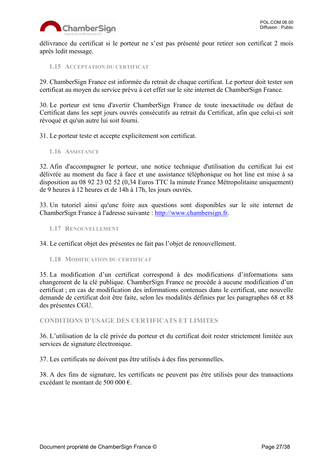

délivrance du certificat si le porteur ne s'est pas présenté pour retirer son certificat 2 mois après ledit message.

<span id="page-26-0"></span>**1.15 ACCEPTATION DU CERTIFICAT**

29. ChamberSign France est informée du retrait de chaque certificat. Le porteur doit tester son certificat au moyen du service prévu à cet effet sur le site internet de ChamberSign France.

30. Le porteur est tenu d'avertir ChamberSign France de toute inexactitude ou défaut de Certificat dans les sept jours ouvrés consécutifs au retrait du Certificat, afin que celui-ci soit révoqué et qu'un autre lui soit fourni.

31. Le porteur teste et accepte explicitement son certificat.

<span id="page-26-1"></span>**1.16 ASSISTANCE**

32. Afin d'accompagner le porteur, une notice technique d'utilisation du certificat lui est délivrée au moment du face à face et une assistance téléphonique ou hot line est mise à sa disposition au 08 92 23 02 52 (0,34 Euros TTC la minute France Métropolitaine uniquement) de 9 heures à 12 heures et de 14h à 17h, les jours ouvrés.

33. Un tutoriel ainsi qu'une foire aux questions sont disponibles sur le site internet de ChamberSign France à l'adresse suivante : [http://www.chambersign.fr.](http://www.chambersign.fr/)

<span id="page-26-2"></span>**1.17 RENOUVELLEMENT**

34. Le certificat objet des présentes ne fait pas l'objet de renouvellement.

<span id="page-26-3"></span>**1.18 MODIFICATION DU CERTIFICAT**

35. La modification d'un certificat correspond à des modifications d'informations sans changement de la clé publique. ChamberSign France ne procède à aucune modification d'un certificat ; en cas de modification des informations contenues dans le certificat, une nouvelle demande de certificat doit être faite, selon les modalités définies par les paragraphes 68 et 88 des présentes CGU.

<span id="page-26-4"></span>**CONDITIONS D'USAGE DES CERTIFICATS ET LIMITES**

36. L'utilisation de la clé privée du porteur et du certificat doit rester strictement limitée aux services de signature électronique.

37. Les certificats ne doivent pas être utilisés à des fins personnelles.

38. A des fins de signature, les certificats ne peuvent pas être utilisés pour des transactions excédant le montant de 500 000 €.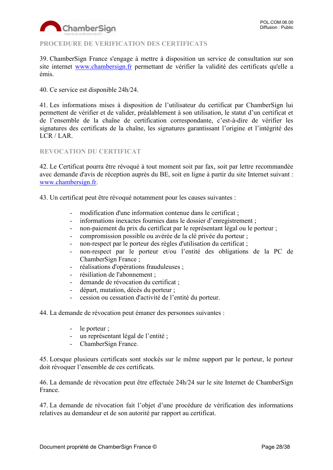

# <span id="page-27-0"></span>**PROCEDURE DE VERIFICATION DES CERTIFICATS**

39. ChamberSign France s'engage à mettre à disposition un service de consultation sur son site internet [www.chambersign.fr](http://www.chambersign.fr/) permettant de vérifier la validité des certificats qu'elle a émis.

40. Ce service est disponible 24h/24.

41. Les informations mises à disposition de l'utilisateur du certificat par ChamberSign lui permettent de vérifier et de valider, préalablement à son utilisation, le statut d'un certificat et de l'ensemble de la chaîne de certification correspondante, c'est-à-dire de vérifier les signatures des certificats de la chaîne, les signatures garantissant l'origine et l'intégrité des LCR / LAR.

#### <span id="page-27-1"></span>**REVOCATION DU CERTIFICAT**

42. Le Certificat pourra être révoqué à tout moment soit par fax, soit par lettre recommandée avec demande d'avis de réception auprès du BE, soit en ligne à partir du site Internet suivant : [www.chambersign.fr.](http://www.chambersign.fr/)

43. Un certificat peut être révoqué notamment pour les causes suivantes :

- modification d'une information contenue dans le certificat ;
- informations inexactes fournies dans le dossier d'enregistrement ;
- non-paiement du prix du certificat par le représentant légal ou le porteur ;
- compromission possible ou avérée de la clé privée du porteur ;
- non-respect par le porteur des règles d'utilisation du certificat ;
- non-respect par le porteur et/ou l'entité des obligations de la PC de ChamberSign France ;
- réalisations d'opérations frauduleuses ;
- résiliation de l'abonnement ;
- demande de révocation du certificat ;
- départ, mutation, décès du porteur ;
- cession ou cessation d'activité de l'entité du porteur.

44. La demande de révocation peut émaner des personnes suivantes :

- le porteur :
- un représentant légal de l'entité ;
- ChamberSign France.

45. Lorsque plusieurs certificats sont stockés sur le même support par le porteur, le porteur doit révoquer l'ensemble de ces certificats.

46. La demande de révocation peut être effectuée 24h/24 sur le site Internet de ChamberSign France.

47. La demande de révocation fait l'objet d'une procédure de vérification des informations relatives au demandeur et de son autorité par rapport au certificat.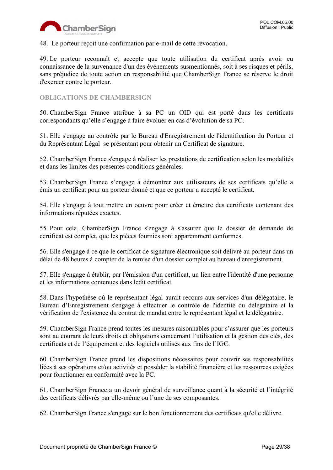

48. Le porteur reçoit une confirmation par e-mail de cette révocation.

49. Le porteur reconnaît et accepte que toute utilisation du certificat après avoir eu connaissance de la survenance d'un des événements susmentionnés, soit à ses risques et périls, sans préjudice de toute action en responsabilité que ChamberSign France se réserve le droit d'exercer contre le porteur.

#### <span id="page-28-0"></span>**OBLIGATIONS DE CHAMBERSIGN**

50. ChamberSign France attribue à sa PC un OID qui est porté dans les certificats correspondants qu'elle s'engage à faire évoluer en cas d'évolution de sa PC.

51. Elle s'engage au contrôle par le Bureau d'Enregistrement de l'identification du Porteur et du Représentant Légal se présentant pour obtenir un Certificat de signature.

52. ChamberSign France s'engage à réaliser les prestations de certification selon les modalités et dans les limites des présentes conditions générales.

53. ChamberSign France s'engage à démontrer aux utilisateurs de ses certificats qu'elle a émis un certificat pour un porteur donné et que ce porteur a accepté le certificat.

54. Elle s'engage à tout mettre en oeuvre pour créer et émettre des certificats contenant des informations réputées exactes.

55. Pour cela, ChamberSign France s'engage à s'assurer que le dossier de demande de certificat est complet, que les pièces fournies sont apparemment conformes.

56. Elle s'engage à ce que le certificat de signature électronique soit délivré au porteur dans un délai de 48 heures à compter de la remise d'un dossier complet au bureau d'enregistrement.

57. Elle s'engage à établir, par l'émission d'un certificat, un lien entre l'identité d'une personne et les informations contenues dans ledit certificat.

58. Dans l'hypothèse où le représentant légal aurait recours aux services d'un délégataire, le Bureau d'Enregistrement s'engage à effectuer le contrôle de l'identité du délégataire et la vérification de l'existence du contrat de mandat entre le représentant légal et le délégataire.

59. ChamberSign France prend toutes les mesures raisonnables pour s'assurer que les porteurs sont au courant de leurs droits et obligations concernant l'utilisation et la gestion des clés, des certificats et de l'équipement et des logiciels utilisés aux fins de l'IGC.

60. ChamberSign France prend les dispositions nécessaires pour couvrir ses responsabilités liées à ses opérations et/ou activités et posséder la stabilité financière et les ressources exigées pour fonctionner en conformité avec la PC.

61. ChamberSign France a un devoir général de surveillance quant à la sécurité et l'intégrité des certificats délivrés par elle-même ou l'une de ses composantes.

62. ChamberSign France s'engage sur le bon fonctionnement des certificats qu'elle délivre.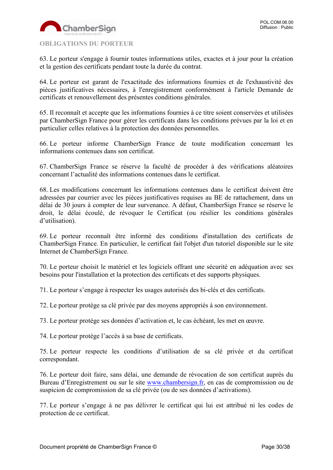

<span id="page-29-0"></span>63. Le porteur s'engage à fournir toutes informations utiles, exactes et à jour pour la création et la gestion des certificats pendant toute la durée du contrat.

64. Le porteur est garant de l'exactitude des informations fournies et de l'exhaustivité des pièces justificatives nécessaires, à l'enregistrement conformément à l'article Demande de certificats et renouvellement des présentes conditions générales.

65. Il reconnaît et accepte que les informations fournies à ce titre soient conservées et utilisées par ChamberSign France pour gérer les certificats dans les conditions prévues par la loi et en particulier celles relatives à la protection des données personnelles.

66. Le porteur informe ChamberSign France de toute modification concernant les informations contenues dans son certificat.

67. ChamberSign France se réserve la faculté de procéder à des vérifications aléatoires concernant l'actualité des informations contenues dans le certificat.

68. Les modifications concernant les informations contenues dans le certificat doivent être adressées par courrier avec les pièces justificatives requises au BE de rattachement, dans un délai de 30 jours à compter de leur survenance. A défaut, ChamberSign France se réserve le droit, le délai écoulé, de révoquer le Certificat (ou résilier les conditions générales d'utilisation).

69. Le porteur reconnaît être informé des conditions d'installation des certificats de ChamberSign France. En particulier, le certificat fait l'objet d'un tutoriel disponible sur le site Internet de ChamberSign France.

70. Le porteur choisit le matériel et les logiciels offrant une sécurité en adéquation avec ses besoins pour l'installation et la protection des certificats et des supports physiques.

71. Le porteur s'engage à respecter les usages autorisés des bi-clés et des certificats.

72. Le porteur protège sa clé privée par des moyens appropriés à son environnement.

73. Le porteur protège ses données d'activation et, le cas échéant, les met en œuvre.

74. Le porteur protège l'accès à sa base de certificats.

75. Le porteur respecte les conditions d'utilisation de sa clé privée et du certificat correspondant.

76. Le porteur doit faire, sans délai, une demande de révocation de son certificat auprès du Bureau d'Enregistrement ou sur le site [www.chambersign.fr,](http://www.chambersign.fr/) en cas de compromission ou de suspicion de compromission de sa clé privée (ou de ses données d'activations).

77. Le porteur s'engage à ne pas délivrer le certificat qui lui est attribué ni les codes de protection de ce certificat.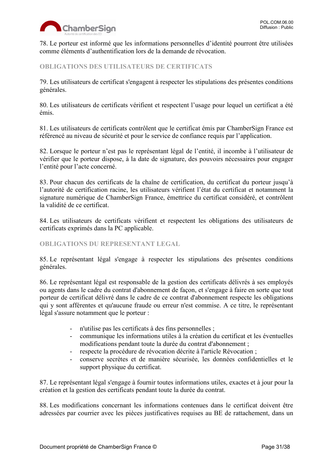

78. Le porteur est informé que les informations personnelles d'identité pourront être utilisées comme éléments d'authentification lors de la demande de révocation.

# <span id="page-30-0"></span>**OBLIGATIONS DES UTILISATEURS DE CERTIFICATS**

79. Les utilisateurs de certificat s'engagent à respecter les stipulations des présentes conditions générales.

80. Les utilisateurs de certificats vérifient et respectent l'usage pour lequel un certificat a été émis.

81. Les utilisateurs de certificats contrôlent que le certificat émis par ChamberSign France est référencé au niveau de sécurité et pour le service de confiance requis par l'application.

82. Lorsque le porteur n'est pas le représentant légal de l'entité, il incombe à l'utilisateur de vérifier que le porteur dispose, à la date de signature, des pouvoirs nécessaires pour engager l'entité pour l'acte concerné.

83. Pour chacun des certificats de la chaîne de certification, du certificat du porteur jusqu'à l'autorité de certification racine, les utilisateurs vérifient l'état du certificat et notamment la signature numérique de ChamberSign France, émettrice du certificat considéré, et contrôlent la validité de ce certificat.

84. Les utilisateurs de certificats vérifient et respectent les obligations des utilisateurs de certificats exprimés dans la PC applicable.

#### <span id="page-30-1"></span>**OBLIGATIONS DU REPRESENTANT LEGAL**

85. Le représentant légal s'engage à respecter les stipulations des présentes conditions générales.

86. Le représentant légal est responsable de la gestion des certificats délivrés à ses employés ou agents dans le cadre du contrat d'abonnement de façon, et s'engage à faire en sorte que tout porteur de certificat délivré dans le cadre de ce contrat d'abonnement respecte les obligations qui y sont afférentes et qu'aucune fraude ou erreur n'est commise. A ce titre, le représentant légal s'assure notamment que le porteur :

- n'utilise pas les certificats à des fins personnelles ;
- communique les informations utiles à la création du certificat et les éventuelles modifications pendant toute la durée du contrat d'abonnement ;
- respecte la procédure de révocation décrite à l'article Révocation ;
- conserve secrètes et de manière sécurisée, les données confidentielles et le support physique du certificat.

87. Le représentant légal s'engage à fournir toutes informations utiles, exactes et à jour pour la création et la gestion des certificats pendant toute la durée du contrat.

88. Les modifications concernant les informations contenues dans le certificat doivent être adressées par courrier avec les pièces justificatives requises au BE de rattachement, dans un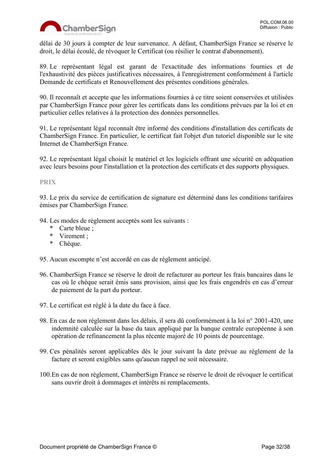

délai de 30 jours à compter de leur survenance. A défaut, ChamberSign France se réserve le droit, le délai écoulé, de révoquer le Certificat (ou résilier le contrat d'abonnement).

89. Le représentant légal est garant de l'exactitude des informations fournies et de l'exhaustivité des pièces justificatives nécessaires, à l'enregistrement conformément à l'article Demande de certificats et Renouvellement des présentes conditions générales.

90. Il reconnaît et accepte que les informations fournies à ce titre soient conservées et utilisées par ChamberSign France pour gérer les certificats dans les conditions prévues par la loi et en particulier celles relatives à la protection des données personnelles.

91. Le représentant légal reconnaît être informé des conditions d'installation des certificats de ChamberSign France. En particulier, le certificat fait l'objet d'un tutoriel disponible sur le site Internet de ChamberSign France.

92. Le représentant légal choisit le matériel et les logiciels offrant une sécurité en adéquation avec leurs besoins pour l'installation et la protection des certificats et des supports physiques.

# <span id="page-31-0"></span>**PRIX**

93. Le prix du service de certification de signature est déterminé dans les conditions tarifaires émises par ChamberSign France.

94. Les modes de règlement acceptés sont les suivants :

- \* Carte bleue ;
- \* Virement ;
- \* Chèque.

95. Aucun escompte n'est accordé en cas de règlement anticipé.

- 96. ChamberSign France se réserve le droit de refacturer au porteur les frais bancaires dans le cas où le chèque serait émis sans provision, ainsi que les frais engendrés en cas d'erreur de paiement de la part du porteur.
- 97. Le certificat est réglé à la date du face à face.
- 98. En cas de non règlement dans les délais, il sera dû conformément à la loi n° 2001-420, une indemnité calculée sur la base du taux appliqué par la banque centrale européenne à son opération de refinancement la plus récente majoré de 10 points de pourcentage.
- 99. Ces pénalités seront applicables dès le jour suivant la date prévue au règlement de la facture et seront exigibles sans qu'aucun rappel ne soit nécessaire.
- 100.En cas de non règlement, ChamberSign France se réserve le droit de révoquer le certificat sans ouvrir droit à dommages et intérêts ni remplacements.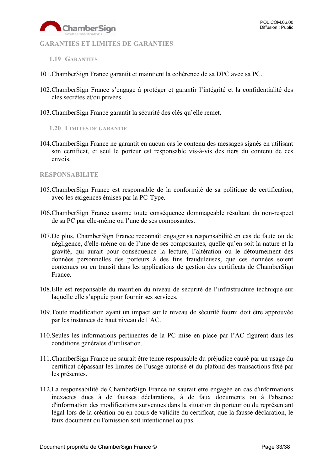

#### <span id="page-32-0"></span>**GARANTIES ET LIMITES DE GARANTIES**

- <span id="page-32-1"></span>**1.19 GARANTIES**
- 101.ChamberSign France garantit et maintient la cohérence de sa DPC avec sa PC.
- 102.ChamberSign France s'engage à protéger et garantir l'intégrité et la confidentialité des clés secrètes et/ou privées.
- <span id="page-32-2"></span>103.ChamberSign France garantit la sécurité des clés qu'elle remet.
	- **1.20 LIMITES DE GARANTIE**
- 104.ChamberSign France ne garantit en aucun cas le contenu des messages signés en utilisant son certificat, et seul le porteur est responsable vis-à-vis des tiers du contenu de ces envois.

#### <span id="page-32-3"></span>**RESPONSABILITE**

- 105.ChamberSign France est responsable de la conformité de sa politique de certification, avec les exigences émises par la PC-Type.
- 106.ChamberSign France assume toute conséquence dommageable résultant du non-respect de sa PC par elle-même ou l'une de ses composantes.
- 107.De plus, ChamberSign France reconnaît engager sa responsabilité en cas de faute ou de négligence, d'elle-même ou de l'une de ses composantes, quelle qu'en soit la nature et la gravité, qui aurait pour conséquence la lecture, l'altération ou le détournement des données personnelles des porteurs à des fins frauduleuses, que ces données soient contenues ou en transit dans les applications de gestion des certificats de ChamberSign France.
- 108.Elle est responsable du maintien du niveau de sécurité de l'infrastructure technique sur laquelle elle s'appuie pour fournir ses services.
- 109.Toute modification ayant un impact sur le niveau de sécurité fourni doit être approuvée par les instances de haut niveau de l'AC.
- 110.Seules les informations pertinentes de la PC mise en place par l'AC figurent dans les conditions générales d'utilisation.
- 111.ChamberSign France ne saurait être tenue responsable du préjudice causé par un usage du certificat dépassant les limites de l'usage autorisé et du plafond des transactions fixé par les présentes.
- 112.La responsabilité de ChamberSign France ne saurait être engagée en cas d'informations inexactes dues à de fausses déclarations, à de faux documents ou à l'absence d'information des modifications survenues dans la situation du porteur ou du représentant légal lors de la création ou en cours de validité du certificat, que la fausse déclaration, le faux document ou l'omission soit intentionnel ou pas.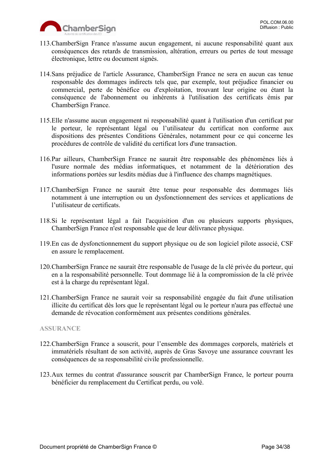

- 113.ChamberSign France n'assume aucun engagement, ni aucune responsabilité quant aux conséquences des retards de transmission, altération, erreurs ou pertes de tout message électronique, lettre ou document signés.
- 114.Sans préjudice de l'article Assurance, ChamberSign France ne sera en aucun cas tenue responsable des dommages indirects tels que, par exemple, tout préjudice financier ou commercial, perte de bénéfice ou d'exploitation, trouvant leur origine ou étant la conséquence de l'abonnement ou inhérents à l'utilisation des certificats émis par ChamberSign France.
- 115.Elle n'assume aucun engagement ni responsabilité quant à l'utilisation d'un certificat par le porteur, le représentant légal ou l'utilisateur du certificat non conforme aux dispositions des présentes Conditions Générales, notamment pour ce qui concerne les procédures de contrôle de validité du certificat lors d'une transaction.
- 116.Par ailleurs, ChamberSign France ne saurait être responsable des phénomènes liés à l'usure normale des médias informatiques, et notamment de la détérioration des informations portées sur lesdits médias due à l'influence des champs magnétiques.
- 117.ChamberSign France ne saurait être tenue pour responsable des dommages liés notamment à une interruption ou un dysfonctionnement des services et applications de l'utilisateur de certificats.
- 118.Si le représentant légal a fait l'acquisition d'un ou plusieurs supports physiques, ChamberSign France n'est responsable que de leur délivrance physique.
- 119.En cas de dysfonctionnement du support physique ou de son logiciel pilote associé, CSF en assure le remplacement.
- 120.ChamberSign France ne saurait être responsable de l'usage de la clé privée du porteur, qui en a la responsabilité personnelle. Tout dommage lié à la compromission de la clé privée est à la charge du représentant légal.
- 121.ChamberSign France ne saurait voir sa responsabilité engagée du fait d'une utilisation illicite du certificat dès lors que le représentant légal ou le porteur n'aura pas effectué une demande de révocation conformément aux présentes conditions générales.

# <span id="page-33-0"></span>**ASSURANCE**

- 122.ChamberSign France a souscrit, pour l'ensemble des dommages corporels, matériels et immatériels résultant de son activité, auprès de Gras Savoye une assurance couvrant les conséquences de sa responsabilité civile professionnelle.
- 123.Aux termes du contrat d'assurance souscrit par ChamberSign France, le porteur pourra bénéficier du remplacement du Certificat perdu, ou volé.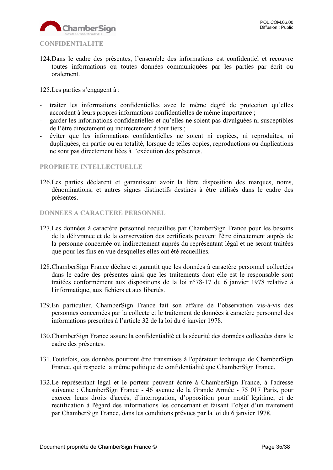

<span id="page-34-0"></span>124.Dans le cadre des présentes, l'ensemble des informations est confidentiel et recouvre toutes informations ou toutes données communiquées par les parties par écrit ou oralement.

125.Les parties s'engagent à :

- traiter les informations confidentielles avec le même degré de protection qu'elles accordent à leurs propres informations confidentielles de même importance ;
- garder les informations confidentielles et qu'elles ne soient pas divulguées ni susceptibles de l'être directement ou indirectement à tout tiers ;
- éviter que les informations confidentielles ne soient ni copiées, ni reproduites, ni dupliquées, en partie ou en totalité, lorsque de telles copies, reproductions ou duplications ne sont pas directement liées à l'exécution des présentes.

#### <span id="page-34-1"></span>**PROPRIETE INTELLECTUELLE**

126.Les parties déclarent et garantissent avoir la libre disposition des marques, noms, dénominations, et autres signes distinctifs destinés à être utilisés dans le cadre des présentes.

#### <span id="page-34-2"></span>**DONNEES A CARACTERE PERSONNEL**

- 127.Les données à caractère personnel recueillies par ChamberSign France pour les besoins de la délivrance et de la conservation des certificats peuvent l'être directement auprès de la personne concernée ou indirectement auprès du représentant légal et ne seront traitées que pour les fins en vue desquelles elles ont été recueillies.
- 128.ChamberSign France déclare et garantit que les données à caractère personnel collectées dans le cadre des présentes ainsi que les traitements dont elle est le responsable sont traitées conformément aux dispositions de la loi n°78-17 du 6 janvier 1978 relative à l'informatique, aux fichiers et aux libertés.
- 129.En particulier, ChamberSign France fait son affaire de l'observation vis-à-vis des personnes concernées par la collecte et le traitement de données à caractère personnel des informations prescrites à l'article 32 de la loi du 6 janvier 1978.
- 130.ChamberSign France assure la confidentialité et la sécurité des données collectées dans le cadre des présentes.
- 131.Toutefois, ces données pourront être transmises à l'opérateur technique de ChamberSign France, qui respecte la même politique de confidentialité que ChamberSign France.
- 132.Le représentant légal et le porteur peuvent écrire à ChamberSign France, à l'adresse suivante : ChamberSign France - 46 avenue de la Grande Armée - 75 017 Paris, pour exercer leurs droits d'accès, d'interrogation, d'opposition pour motif légitime, et de rectification à l'égard des informations les concernant et faisant l'objet d'un traitement par ChamberSign France, dans les conditions prévues par la loi du 6 janvier 1978.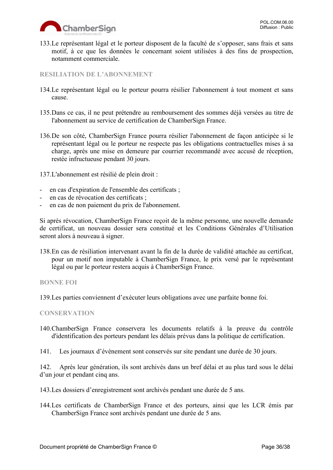133.Le représentant légal et le porteur disposent de la faculté de s'opposer, sans frais et sans motif, à ce que les données le concernant soient utilisées à des fins de prospection, notamment commerciale.

<span id="page-35-0"></span>**RESILIATION DE L'ABONNEMENT**

- 134.Le représentant légal ou le porteur pourra résilier l'abonnement à tout moment et sans cause.
- 135.Dans ce cas, il ne peut prétendre au remboursement des sommes déjà versées au titre de l'abonnement au service de certification de ChamberSign France.
- 136.De son côté, ChamberSign France pourra résilier l'abonnement de façon anticipée si le représentant légal ou le porteur ne respecte pas les obligations contractuelles mises à sa charge, après une mise en demeure par courrier recommandé avec accusé de réception, restée infructueuse pendant 30 jours.

137.L'abonnement est résilié de plein droit :

- en cas d'expiration de l'ensemble des certificats ;
- en cas de révocation des certificats ;
- en cas de non paiement du prix de l'abonnement.

Si après révocation, ChamberSign France reçoit de la même personne, une nouvelle demande de certificat, un nouveau dossier sera constitué et les Conditions Générales d'Utilisation seront alors à nouveau à signer.

138.En cas de résiliation intervenant avant la fin de la durée de validité attachée au certificat, pour un motif non imputable à ChamberSign France, le prix versé par le représentant légal ou par le porteur restera acquis à ChamberSign France.

<span id="page-35-1"></span>**BONNE FOI**

139.Les parties conviennent d'exécuter leurs obligations avec une parfaite bonne foi.

#### <span id="page-35-2"></span>**CONSERVATION**

- 140.ChamberSign France conservera les documents relatifs à la preuve du contrôle d'identification des porteurs pendant les délais prévus dans la politique de certification.
- 141. Les journaux d'évènement sont conservés sur site pendant une durée de 30 jours.

142. Après leur génération, ils sont archivés dans un bref délai et au plus tard sous le délai d'un jour et pendant cinq ans.

- 143.Les dossiers d'enregistrement sont archivés pendant une durée de 5 ans.
- 144.Les certificats de ChamberSign France et des porteurs, ainsi que les LCR émis par ChamberSign France sont archivés pendant une durée de 5 ans.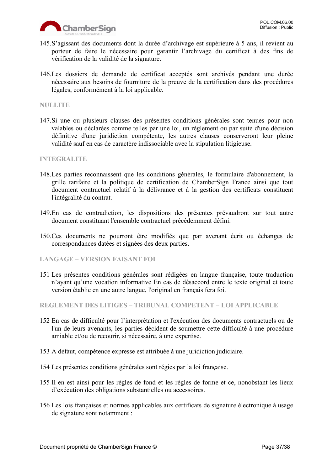

- 145.S'agissant des documents dont la durée d'archivage est supérieure à 5 ans, il revient au porteur de faire le nécessaire pour garantir l'archivage du certificat à des fins de vérification de la validité de la signature.
- 146.Les dossiers de demande de certificat acceptés sont archivés pendant une durée nécessaire aux besoins de fourniture de la preuve de la certification dans des procédures légales, conformément à la loi applicable.

#### <span id="page-36-0"></span>**NULLITE**

147.Si une ou plusieurs clauses des présentes conditions générales sont tenues pour non valables ou déclarées comme telles par une loi, un règlement ou par suite d'une décision définitive d'une juridiction compétente, les autres clauses conserveront leur pleine validité sauf en cas de caractère indissociable avec la stipulation litigieuse.

#### <span id="page-36-1"></span>**INTEGRALITE**

- 148.Les parties reconnaissent que les conditions générales, le formulaire d'abonnement, la grille tarifaire et la politique de certification de ChamberSign France ainsi que tout document contractuel relatif à la délivrance et à la gestion des certificats constituent l'intégralité du contrat.
- 149.En cas de contradiction, les dispositions des présentes prévaudront sur tout autre document constituant l'ensemble contractuel précédemment défini.
- 150.Ces documents ne pourront être modifiés que par avenant écrit ou échanges de correspondances datées et signées des deux parties.
- **LANGAGE – VERSION FAISANT FOI**
- 151 Les présentes conditions générales sont rédigées en langue française, toute traduction n'ayant qu'une vocation informative En cas de désaccord entre le texte original et toute version établie en une autre langue, l'original en français fera foi.

<span id="page-36-2"></span>**REGLEMENT DES LITIGES – TRIBUNAL COMPETENT – LOI APPLICABLE**

- 152 En cas de difficulté pour l'interprétation et l'exécution des documents contractuels ou de l'un de leurs avenants, les parties décident de soumettre cette difficulté à une procédure amiable et/ou de recourir, si nécessaire, à une expertise.
- 153 A défaut, compétence expresse est attribuée à une juridiction judiciaire.
- 154 Les présentes conditions générales sont régies par la loi française.
- 155 Il en est ainsi pour les règles de fond et les règles de forme et ce, nonobstant les lieux d'exécution des obligations substantielles ou accessoires.
- 156 Les lois françaises et normes applicables aux certificats de signature électronique à usage de signature sont notamment :